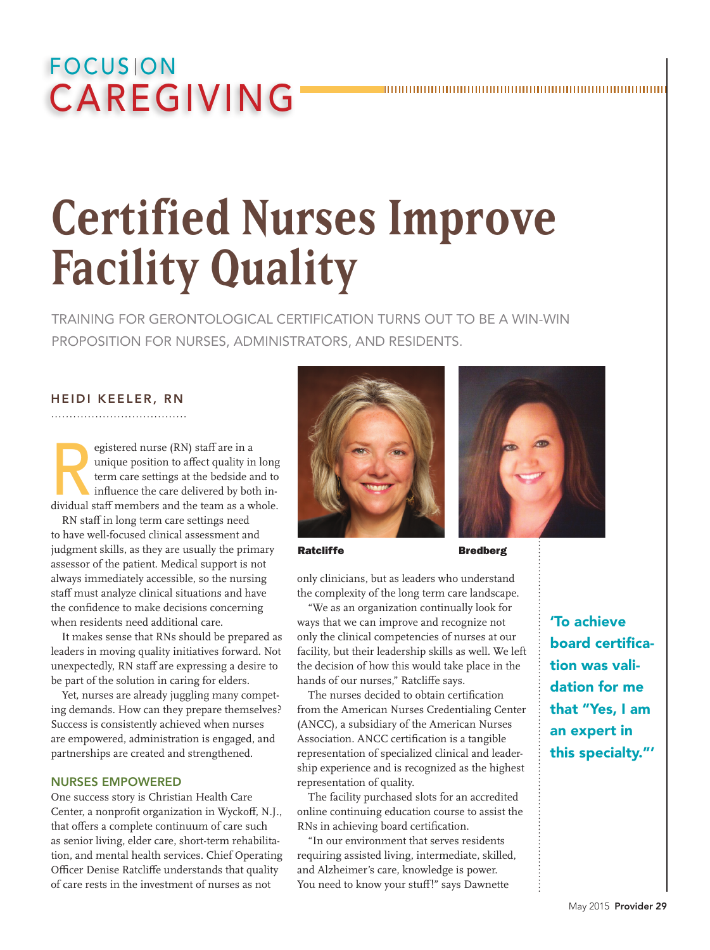# **FOCUSION CAREGIVING**

# **Certified Nurses Improve Facility Quality**

Training For gerontological certification turns out to be A Win-Win Proposition For Nurses, Administrators, and residents.

#### Heidi Keeler, RN

egistered nurse (RN) staff are in a<br>
unique position to affect quality in long<br>
term care settings at the bedside and to<br>
influence the care delivered by both in-<br>
dividual staff members and the team as a whole. unique position to affect quality in long term care settings at the bedside and to influence the care delivered by both in-

RN staff in long term care settings need to have well-focused clinical assessment and judgment skills, as they are usually the primary assessor of the patient. Medical support is not always immediately accessible, so the nursing staff must analyze clinical situations and have the confidence to make decisions concerning when residents need additional care.

It makes sense that RNs should be prepared as leaders in moving quality initiatives forward. Not unexpectedly, RN staff are expressing a desire to be part of the solution in caring for elders.

Yet, nurses are already juggling many competing demands. How can they prepare themselves? Success is consistently achieved when nurses are empowered, administration is engaged, and partnerships are created and strengthened.

#### Nurses Empowered

One success story is Christian Health Care Center, a nonprofit organization in Wyckoff, N.J., that offers a complete continuum of care such as senior living, elder care, short-term rehabilitation, and mental health services. Chief Operating Officer Denise Ratcliffe understands that quality of care rests in the investment of nurses as not



Ratcliffe Bredberg

only clinicians, but as leaders who understand the complexity of the long term care landscape. "We as an organization continually look for

ways that we can improve and recognize not only the clinical competencies of nurses at our facility, but their leadership skills as well. We left the decision of how this would take place in the hands of our nurses," Ratcliffe says.

The nurses decided to obtain certification from the American Nurses Credentialing Center (ANCC), a subsidiary of the American Nurses Association. ANCC certification is a tangible representation of specialized clinical and leadership experience and is recognized as the highest representation of quality.

The facility purchased slots for an accredited online continuing education course to assist the RNs in achieving board certification.

"In our environment that serves residents requiring assisted living, intermediate, skilled, and Alzheimer's care, knowledge is power. You need to know your stuff!" says Dawnette



'To achieve board certification was validation for me that "Yes, I am an expert in this specialty."'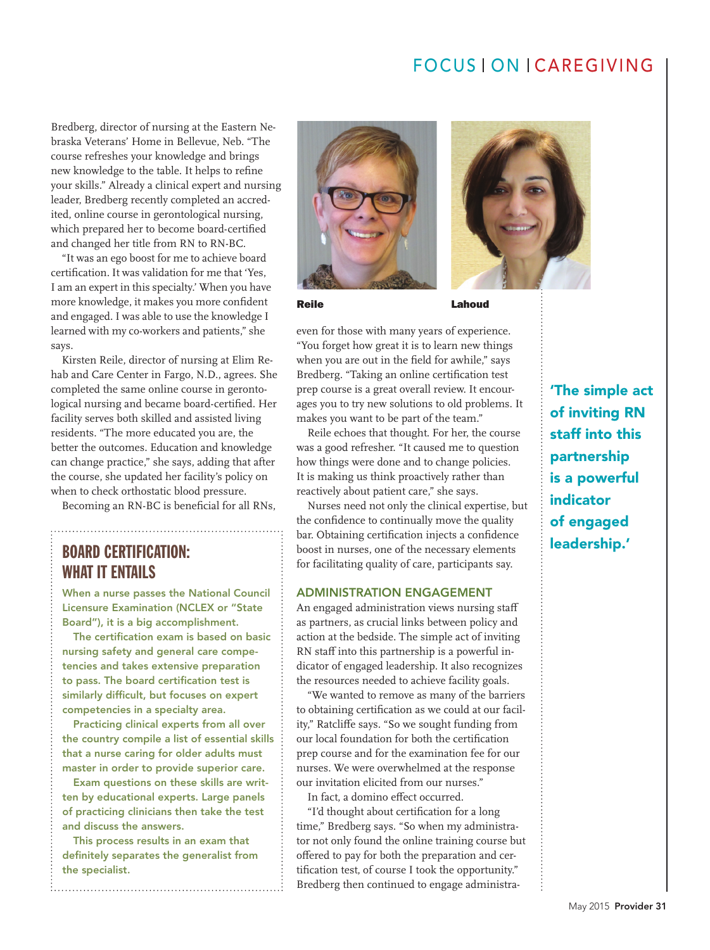# FOCUS | ON | CAREGIVING

Bredberg, director of nursing at the Eastern Nebraska Veterans' Home in Bellevue, Neb. "The course refreshes your knowledge and brings new knowledge to the table. It helps to refine your skills." Already a clinical expert and nursing leader, Bredberg recently completed an accredited, online course in gerontological nursing, which prepared her to become board-certified and changed her title from RN to RN-BC.

"It was an ego boost for me to achieve board certification. It was validation for me that 'Yes, I am an expert in this specialty.' When you have more knowledge, it makes you more confident and engaged. I was able to use the knowledge I learned with my co-workers and patients," she says.

Kirsten Reile, director of nursing at Elim Rehab and Care Center in Fargo, N.D., agrees. She completed the same online course in gerontological nursing and became board-certified. Her facility serves both skilled and assisted living residents. "The more educated you are, the better the outcomes. Education and knowledge can change practice," she says, adding that after the course, she updated her facility's policy on when to check orthostatic blood pressure.

Becoming an RN-BC is beneficial for all RNs,

## Board Certification: what it entails

When a nurse passes the National Council Licensure Examination (NCLEX or "State Board"), it is a big accomplishment.

The certification exam is based on basic nursing safety and general care competencies and takes extensive preparation to pass. The board certification test is similarly difficult, but focuses on expert competencies in a specialty area.

Practicing clinical experts from all over the country compile a list of essential skills that a nurse caring for older adults must master in order to provide superior care.

Exam questions on these skills are written by educational experts. Large panels of practicing clinicians then take the test and discuss the answers.

This process results in an exam that definitely separates the generalist from the specialist.





Reile **Lahoud** 

even for those with many years of experience. "You forget how great it is to learn new things when you are out in the field for awhile," says Bredberg. "Taking an online certification test prep course is a great overall review. It encourages you to try new solutions to old problems. It makes you want to be part of the team."

Reile echoes that thought. For her, the course was a good refresher. "It caused me to question how things were done and to change policies. It is making us think proactively rather than reactively about patient care," she says.

Nurses need not only the clinical expertise, but the confidence to continually move the quality bar. Obtaining certification injects a confidence boost in nurses, one of the necessary elements for facilitating quality of care, participants say.

#### Administration Engagement

An engaged administration views nursing staff as partners, as crucial links between policy and action at the bedside. The simple act of inviting RN staff into this partnership is a powerful indicator of engaged leadership. It also recognizes the resources needed to achieve facility goals.

"We wanted to remove as many of the barriers to obtaining certification as we could at our facility," Ratcliffe says. "So we sought funding from our local foundation for both the certification prep course and for the examination fee for our nurses. We were overwhelmed at the response our invitation elicited from our nurses."

In fact, a domino effect occurred.

"I'd thought about certification for a long time," Bredberg says. "So when my administrator not only found the online training course but offered to pay for both the preparation and certification test, of course I took the opportunity." Bredberg then continued to engage administra'The simple act of inviting RN staff into this partnership is a powerful indicator of engaged leadership.'